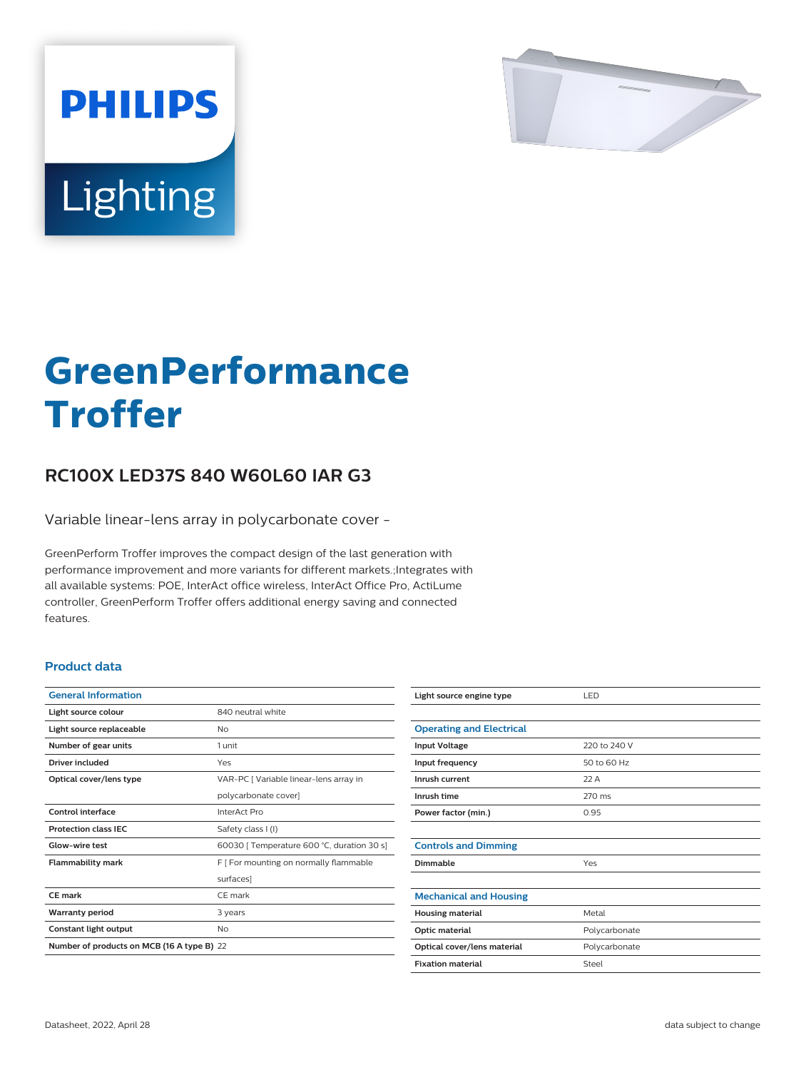

# Lighting

**PHILIPS** 

# **GreenPerformance Troffer**

## **RC100X LED37S 840 W60L60 IAR G3**

Variable linear-lens array in polycarbonate cover -

GreenPerform Troffer improves the compact design of the last generation with performance improvement and more variants for different markets.;Integrates with all available systems: POE, InterAct office wireless, InterAct Office Pro, ActiLume controller, GreenPerform Troffer offers additional energy saving and connected features.

#### **Product data**

| <b>General Information</b>                 |                                            |  |
|--------------------------------------------|--------------------------------------------|--|
| Light source colour                        | 840 neutral white                          |  |
| Light source replaceable                   | Nο                                         |  |
| Number of gear units                       | 1 unit                                     |  |
| Driver included                            | Yes                                        |  |
| Optical cover/lens type                    | VAR-PC   Variable linear-lens array in     |  |
|                                            | polycarbonate cover]                       |  |
| Control interface                          | InterAct Pro                               |  |
| <b>Protection class IEC</b>                | Safety class I (I)                         |  |
| Glow-wire test                             | 60030   Temperature 600 °C, duration 30 s] |  |
| <b>Flammability mark</b>                   | F   For mounting on normally flammable     |  |
|                                            | surfaces]                                  |  |
| CE mark                                    | CF mark                                    |  |
| <b>Warranty period</b>                     | 3 years                                    |  |
| Constant light output                      | No                                         |  |
| Number of products on MCB (16 A type B) 22 |                                            |  |

| Light source engine type        | LED           |
|---------------------------------|---------------|
|                                 |               |
| <b>Operating and Electrical</b> |               |
| <b>Input Voltage</b>            | 220 to 240 V  |
| Input frequency                 | 50 to 60 Hz   |
| Inrush current                  | 22A           |
| Inrush time                     | 270 ms        |
| Power factor (min.)             | 0.95          |
|                                 |               |
| <b>Controls and Dimming</b>     |               |
| Dimmable                        | Yes           |
|                                 |               |
| <b>Mechanical and Housing</b>   |               |
| <b>Housing material</b>         | Metal         |
| Optic material                  | Polycarbonate |
| Optical cover/lens material     | Polycarbonate |
| <b>Fixation material</b>        | Steel         |
|                                 |               |